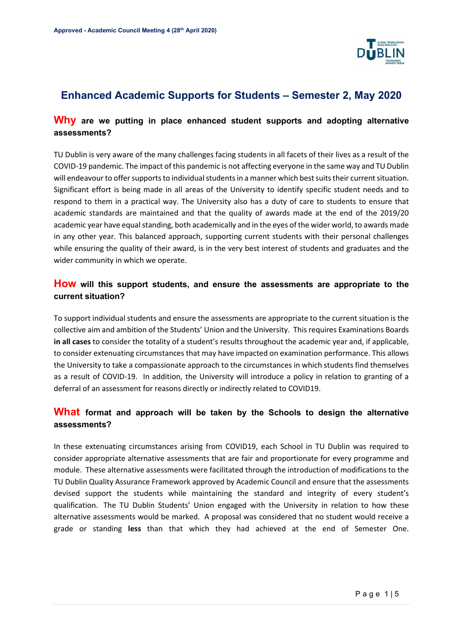

# **Enhanced Academic Supports for Students – Semester 2, May 2020**

# **Why are we putting in place enhanced student supports and adopting alternative assessments?**

TU Dublin is very aware of the many challenges facing students in all facets of their lives as a result of the COVID-19 pandemic. The impact of this pandemic is not affecting everyone in the same way and TU Dublin will endeavour to offer supports to individual students in a manner which best suits their current situation. Significant effort is being made in all areas of the University to identify specific student needs and to respond to them in a practical way. The University also has a duty of care to students to ensure that academic standards are maintained and that the quality of awards made at the end of the 2019/20 academic year have equal standing, both academically and in the eyes of the wider world, to awards made in any other year. This balanced approach, supporting current students with their personal challenges while ensuring the quality of their award, is in the very best interest of students and graduates and the wider community in which we operate.

# **How will this support students, and ensure the assessments are appropriate to the current situation?**

To support individual students and ensure the assessments are appropriate to the current situation is the collective aim and ambition of the Students' Union and the University. This requires Examinations Boards **in all cases** to consider the totality of a student's results throughout the academic year and, if applicable, to consider extenuating circumstances that may have impacted on examination performance. This allows the University to take a compassionate approach to the circumstances in which students find themselves as a result of COVID-19. In addition, the University will introduce a policy in relation to granting of a deferral of an assessment for reasons directly or indirectly related to COVID19.

# **What format and approach will be taken by the Schools to design the alternative assessments?**

In these extenuating circumstances arising from COVID19, each School in TU Dublin was required to consider appropriate alternative assessments that are fair and proportionate for every programme and module. These alternative assessments were facilitated through the introduction of modifications to the TU Dublin Quality Assurance Framework approved by Academic Council and ensure that the assessments devised support the students while maintaining the standard and integrity of every student's qualification. The TU Dublin Students' Union engaged with the University in relation to how these alternative assessments would be marked. A proposal was considered that no student would receive a grade or standing **less** than that which they had achieved at the end of Semester One.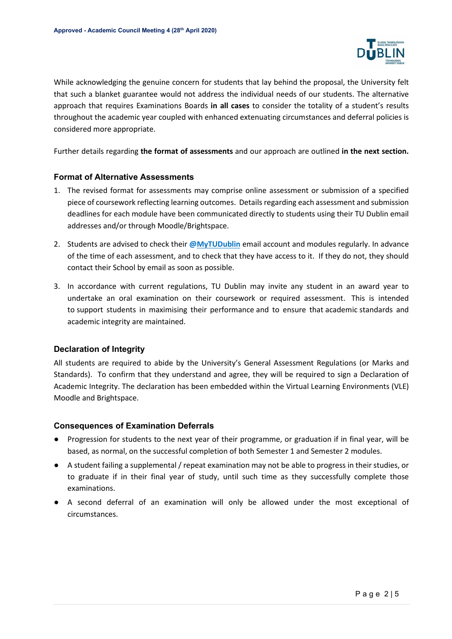

While acknowledging the genuine concern for students that lay behind the proposal, the University felt that such a blanket guarantee would not address the individual needs of our students. The alternative approach that requires Examinations Boards **in all cases** to consider the totality of a student's results throughout the academic year coupled with enhanced extenuating circumstances and deferral policies is considered more appropriate.

Further details regarding **the format of assessments** and our approach are outlined **in the next section.**

### **Format of Alternative Assessments**

- 1. The revised format for assessments may comprise online assessment or submission of a specified piece of coursework reflecting learning outcomes. Details regarding each assessment and submission deadlines for each module have been communicated directly to students using their TU Dublin email addresses and/or through Moodle/Brightspace.
- 2. Students are advised to check their **@MyTUDublin** email account and modules regularly. In advance of the time of each assessment, and to check that they have access to it. If they do not, they should contact their School by email as soon as possible.
- 3. In accordance with current regulations, TU Dublin may invite any student in an award year to undertake an oral examination on their coursework or required assessment. This is intended to support students in maximising their performance and to ensure that academic standards and academic integrity are maintained.

## **Declaration of Integrity**

All students are required to abide by the University's General Assessment Regulations (or Marks and Standards). To confirm that they understand and agree, they will be required to sign a Declaration of Academic Integrity. The declaration has been embedded within the Virtual Learning Environments (VLE) Moodle and Brightspace.

#### **Consequences of Examination Deferrals**

- Progression for students to the next year of their programme, or graduation if in final year, will be based, as normal, on the successful completion of both Semester 1 and Semester 2 modules.
- A student failing a supplemental / repeat examination may not be able to progress in their studies, or to graduate if in their final year of study, until such time as they successfully complete those examinations.
- A second deferral of an examination will only be allowed under the most exceptional of circumstances.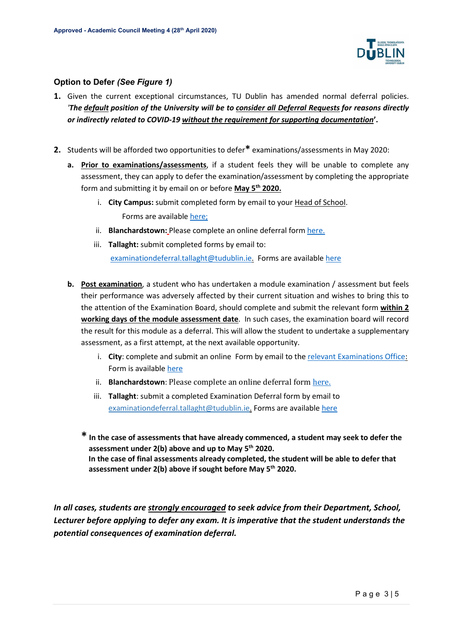

# **Option to Defer** *(See Figure 1)*

- **1.** Given the current exceptional circumstances, TU Dublin has amended normal deferral policies. *'The default position of the University will be to consider all Deferral Requests for reasons directly or indirectly related to COVID-19 without the requirement for supporting documentation***'.**
- **2.** Students will be afforded two opportunities to defer**\*** examinations/assessments in May 2020:
	- **a. Prior to examinations/assessments**, if a student feels they will be unable to complete any assessment, they can apply to defer the examination/assessment by completing the appropriate form and submitting it by email on or before **May 5th 2020.**
		- i. **City Campus:** submit completed form by email to your Head of School. Forms are available [here;](https://www.dit.ie/qualityassuranceandacademicprogrammerecords/student-assessment-regulations/general/)
		- ii. **Blanchardstown:** Please complete an online deferral for[m here.](https://bit.ly/2RR4xGR)
		- iii. **Tallaght:** submit completed forms by email to:

[examinationdeferral.tallaght@tudublin.ie.](mailto:examinationdeferral.tallaght@tudublin.ie) Forms are available [here](https://www.it-tallaght.ie/examdeferral)

- **b. Post examination**, a student who has undertaken a module examination / assessment but feels their performance was adversely affected by their current situation and wishes to bring this to the attention of the Examination Board, should complete and submit the relevant form **within 2 working days of the module assessment date**. In such cases, the examination board will record the result for this module as a deferral. This will allow the student to undertake a supplementary assessment, as a first attempt, at the next available opportunity.
	- i. City: complete and submit an online Form by email to the [relevant Examinations Office:](https://www.dit.ie/currentstudents/studentservices/examinations/examcontactdetailsbyschool/) Form is available [here](https://www.dit.ie/qualityassuranceandacademicprogrammerecords/student-assessment-regulations/general/)
	- ii. **Blanchardstown**: Please complete an online deferral form [here.](https://bit.ly/2RR4xGR)
	- iii. **Tallaght**: submit a completed Examination Deferral form by email to [examinationdeferral.tallaght@tudublin.ie.](mailto:examinationdeferral.tallaght@tudublin.ie) Forms are availabl[e here](https://www.it-tallaght.ie/examdeferral)
	- **\* In the case of assessments that have already commenced, a student may seek to defer the assessment under 2(b) above and up to May 5th 2020. In the case of final assessments already completed, the student will be able to defer that assessment under 2(b) above if sought before May 5th 2020.**

*In all cases, students are strongly encouraged to seek advice from their Department, School, Lecturer before applying to defer any exam. It is imperative that the student understands the potential consequences of examination deferral.*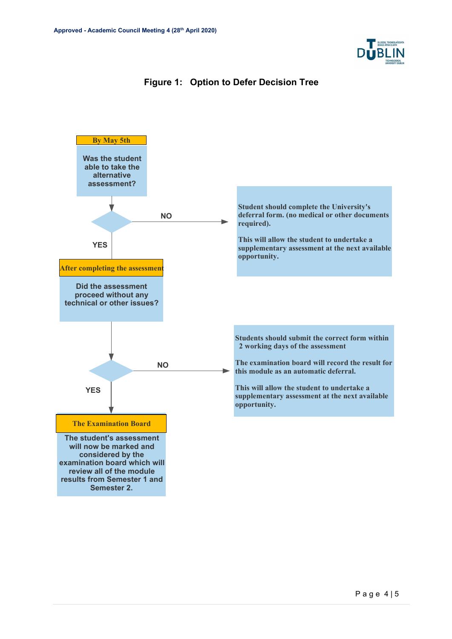